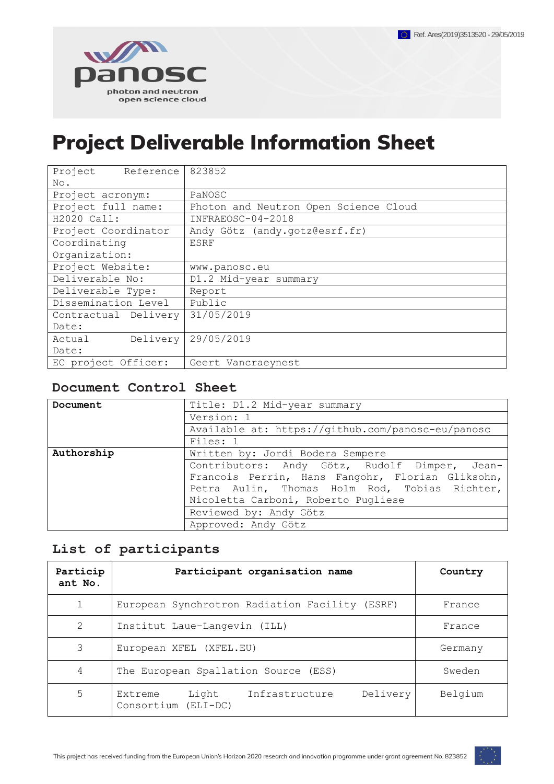

# <span id="page-0-0"></span>Project Deliverable Information Sheet

| Project<br>Reference | 823852                                |  |  |
|----------------------|---------------------------------------|--|--|
| No.                  |                                       |  |  |
| Project acronym:     | PaNOSC                                |  |  |
| Project full name:   | Photon and Neutron Open Science Cloud |  |  |
| H2020 Call:          | INFRAEOSC-04-2018                     |  |  |
| Project Coordinator  | Andy Götz (andy.gotz@esrf.fr)         |  |  |
| Coordinating         | <b>ESRF</b>                           |  |  |
| Organization:        |                                       |  |  |
| Project Website:     | www.panosc.eu                         |  |  |
| Deliverable No:      | D1.2 Mid-year summary                 |  |  |
| Deliverable Type:    | Report                                |  |  |
| Dissemination Level  | Public                                |  |  |
| Contractual Delivery | 31/05/2019                            |  |  |
| Date:                |                                       |  |  |
| Delivery<br>Actual   | 29/05/2019                            |  |  |
| Date:                |                                       |  |  |
| EC project Officer:  | Geert Vancraeynest                    |  |  |

### <span id="page-0-1"></span>**Document Control Sheet**

| Document   | Title: D1.2 Mid-year summary                      |  |  |  |  |
|------------|---------------------------------------------------|--|--|--|--|
|            | Version: 1                                        |  |  |  |  |
|            | Available at: https://github.com/panosc-eu/panosc |  |  |  |  |
|            | Files: 1                                          |  |  |  |  |
| Authorship | Written by: Jordi Bodera Sempere                  |  |  |  |  |
|            | Contributors: Andy Götz, Rudolf Dimper, Jean-     |  |  |  |  |
|            | Francois Perrin, Hans Fangohr, Florian Gliksohn,  |  |  |  |  |
|            | Petra Aulin, Thomas Holm Rod, Tobias Richter,     |  |  |  |  |
|            | Nicoletta Carboni, Roberto Pugliese               |  |  |  |  |
|            | Reviewed by: Andy Götz                            |  |  |  |  |
|            | Approved: Andy Götz                               |  |  |  |  |

# <span id="page-0-2"></span>**List of participants**

| Particip<br>ant No. | Participant organisation name                                         | Country |
|---------------------|-----------------------------------------------------------------------|---------|
| 1                   | European Synchrotron Radiation Facility (ESRF)                        | France  |
| 2                   | Institut Laue-Langevin (ILL)                                          | France  |
| 3                   | European XFEL (XFEL.EU)                                               | Germany |
| 4                   | The European Spallation Source (ESS)                                  | Sweden  |
| 5                   | Delivery<br>Light<br>Infrastructure<br>Extreme<br>Consortium (ELI-DC) | Belgium |

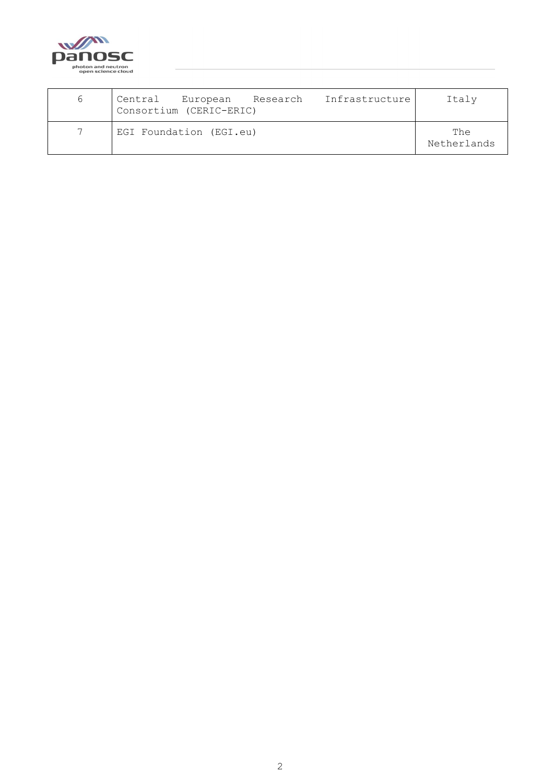

<span id="page-1-0"></span>

| 6                        | Infrastructure<br>European Research<br>Central<br>Consortium (CERIC-ERIC) | Italy              |
|--------------------------|---------------------------------------------------------------------------|--------------------|
| $\overline{\phantom{0}}$ | EGI Foundation (EGI.eu)                                                   | The<br>Netherlands |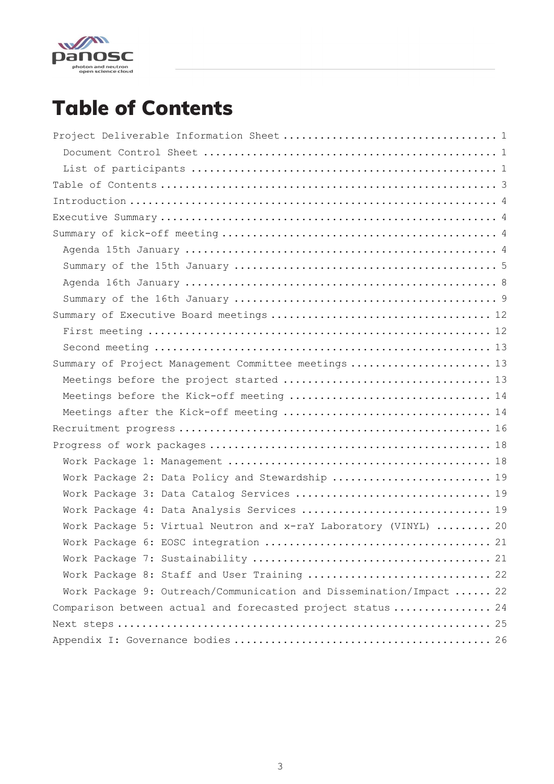

# Table of Contents

| Summary of Project Management Committee meetings  13                |
|---------------------------------------------------------------------|
|                                                                     |
| Meetings before the Kick-off meeting  14                            |
| Meetings after the Kick-off meeting  14                             |
|                                                                     |
|                                                                     |
|                                                                     |
| Work Package 2: Data Policy and Stewardship  19                     |
| Work Package 3: Data Catalog Services  19                           |
| Work Package 4: Data Analysis Services  19                          |
| Work Package 5: Virtual Neutron and x-raY Laboratory (VINYL)  20    |
|                                                                     |
|                                                                     |
| Work Package 8: Staff and User Training  22                         |
| Work Package 9: Outreach/Communication and Dissemination/Impact  22 |
| Comparison between actual and forecasted project status  24         |
|                                                                     |
|                                                                     |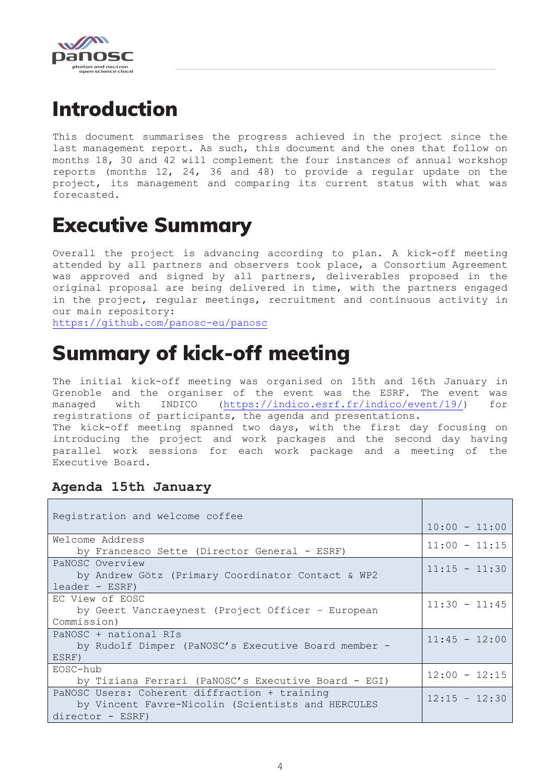

# <span id="page-3-0"></span>Introduction

This document summarises the progress achieved in the project since the last management report. As such, this document and the ones that follow on months 18, 30 and 42 will complement the four instances of annual workshop reports (months 12, 24, 36 and 48) to provide a regular update on the project, its management and comparing its current status with what was forecasted.

# <span id="page-3-1"></span>Executive Summary

Overall the project is advancing according to plan. A kick-off meeting attended by all partners and observers took place, a Consortium Agreement was approved and signed by all partners, deliverables proposed in the original proposal are being delivered in time, with the partners engaged in the project, regular meetings, recruitment and continuous activity in our main repository:

<span id="page-3-2"></span><https://github.com/panosc-eu/panosc>

# Summary of kick-off meeting

The initial kick-off meeting was organised on 15th and 16th January in Grenoble and the organiser of the event was the ESRF. The event was managed with INDICO [\(https://indico.esrf.fr/indico/event/19/\)](https://indico.esrf.fr/indico/event/19/) for registrations of participants, the agenda and presentations. The kick-off meeting spanned two days, with the first day focusing on introducing the project and work packages and the second day having parallel work sessions for each work package and a meeting of the Executive Board.

# <span id="page-3-3"></span>**Agenda 15th January**

| Registration and welcome coffee                     |                 |
|-----------------------------------------------------|-----------------|
|                                                     | $10:00 - 11:00$ |
| Welcome Address                                     | $11:00 - 11:15$ |
| by Francesco Sette (Director General - ESRF)        |                 |
| PaNOSC Overview                                     | $11:15 - 11:30$ |
| by Andrew Götz (Primary Coordinator Contact & WP2   |                 |
| $leader - ESRF)$                                    |                 |
| EC View of EOSC                                     | $11:30 - 11:45$ |
| by Geert Vancraeynest (Project Officer - European   |                 |
| Commission)                                         |                 |
| PaNOSC + national RIs                               | $11:45 - 12:00$ |
| by Rudolf Dimper (PaNOSC's Executive Board member - |                 |
| ESRF)                                               |                 |
| EOSC-hub                                            | $12:00 - 12:15$ |
| by Tiziana Ferrari (PaNOSC's Executive Board - EGI) |                 |
| PaNOSC Users: Coherent diffraction + training       | $12:15 - 12:30$ |
| by Vincent Favre-Nicolin (Scientists and HERCULES   |                 |
| director - ESRF)                                    |                 |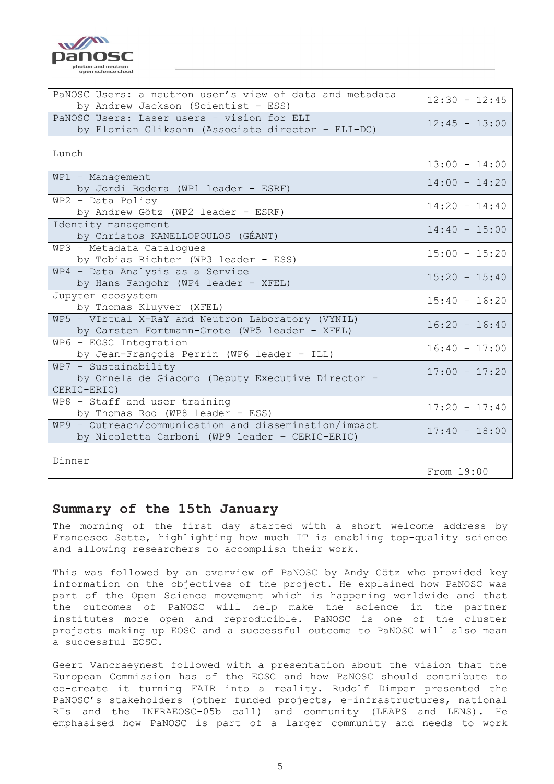photon and neutron<br>open science cloud

Danc

| PaNOSC Users: a neutron user's view of data and metadata<br>by Andrew Jackson (Scientist - ESS)         | $12:30 - 12:45$ |
|---------------------------------------------------------------------------------------------------------|-----------------|
| PaNOSC Users: Laser users - vision for ELI<br>by Florian Gliksohn (Associate director - ELI-DC)         | $12:45 - 13:00$ |
| Lunch                                                                                                   |                 |
|                                                                                                         | $13:00 - 14:00$ |
| WP1 - Management<br>by Jordi Bodera (WP1 leader - ESRF)                                                 | $14:00 - 14:20$ |
| WP2 - Data Policy<br>by Andrew Götz (WP2 leader - ESRF)                                                 | $14:20 - 14:40$ |
| Identity management<br>by Christos KANELLOPOULOS (GÉANT)                                                | $14:40 - 15:00$ |
| WP3 - Metadata Catalogues<br>by Tobias Richter (WP3 leader - ESS)                                       | $15:00 - 15:20$ |
| WP4 - Data Analysis as a Service<br>by Hans Fangohr (WP4 leader - XFEL)                                 | $15:20 - 15:40$ |
| Jupyter ecosystem<br>by Thomas Kluyver (XFEL)                                                           | $15:40 - 16:20$ |
| WP5 - VIrtual X-RaY and Neutron Laboratory (VYNIL)<br>by Carsten Fortmann-Grote (WP5 leader - XFEL)     | $16:20 - 16:40$ |
| WP6 - EOSC Integration<br>by Jean-François Perrin (WP6 leader - ILL)                                    | $16:40 - 17:00$ |
| $WP7 -$ Sustainability<br>by Ornela de Giacomo (Deputy Executive Director -<br>CERIC-ERIC)              | $17:00 - 17:20$ |
| WP8 - Staff and user training<br>by Thomas Rod (WP8 leader - ESS)                                       | $17:20 - 17:40$ |
| WP9 - Outreach/communication and dissemination/impact<br>by Nicoletta Carboni (WP9 leader - CERIC-ERIC) | $17:40 - 18:00$ |
| Dinner                                                                                                  | From 19:00      |

#### <span id="page-4-0"></span>**Summary of the 15th January**

The morning of the first day started with a short welcome address by Francesco Sette, highlighting how much IT is enabling top-quality science and allowing researchers to accomplish their work.

This was followed by an overview of PaNOSC by Andy Götz who provided key information on the objectives of the project. He explained how PaNOSC was part of the Open Science movement which is happening worldwide and that the outcomes of PaNOSC will help make the science in the partner institutes more open and reproducible. PaNOSC is one of the cluster projects making up EOSC and a successful outcome to PaNOSC will also mean a successful EOSC.

Geert Vancraeynest followed with a presentation about the vision that the European Commission has of the EOSC and how PaNOSC should contribute to co-create it turning FAIR into a reality. Rudolf Dimper presented the PaNOSC's stakeholders (other funded projects, e-infrastructures, national RIs and the INFRAEOSC-05b call) and community (LEAPS and LENS). He emphasised how PaNOSC is part of a larger community and needs to work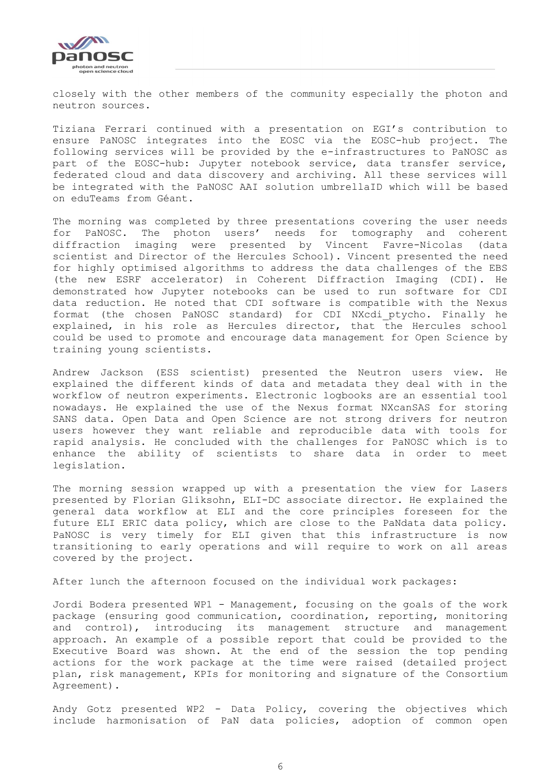

closely with the other members of the community especially the photon and neutron sources.

Tiziana Ferrari continued with a presentation on EGI's contribution to ensure PaNOSC integrates into the EOSC via the EOSC-hub project. The following services will be provided by the e-infrastructures to PaNOSC as part of the EOSC-hub: Jupyter notebook service, data transfer service, federated cloud and data discovery and archiving. All these services will be integrated with the PaNOSC AAI solution umbrellaID which will be based on eduTeams from Géant.

The morning was completed by three presentations covering the user needs for PaNOSC. The photon users' needs for tomography and coherent diffraction imaging were presented by Vincent Favre-Nicolas (data scientist and Director of the Hercules School). Vincent presented the need for highly optimised algorithms to address the data challenges of the EBS (the new ESRF accelerator) in Coherent Diffraction Imaging (CDI). He demonstrated how Jupyter notebooks can be used to run software for CDI data reduction. He noted that CDI software is compatible with the Nexus format (the chosen PaNOSC standard) for CDI NXcdi\_ptycho. Finally he explained, in his role as Hercules director, that the Hercules school could be used to promote and encourage data management for Open Science by training young scientists.

Andrew Jackson (ESS scientist) presented the Neutron users view. He explained the different kinds of data and metadata they deal with in the workflow of neutron experiments. Electronic logbooks are an essential tool nowadays. He explained the use of the Nexus format NXcanSAS for storing SANS data. Open Data and Open Science are not strong drivers for neutron users however they want reliable and reproducible data with tools for rapid analysis. He concluded with the challenges for PaNOSC which is to enhance the ability of scientists to share data in order to meet legislation.

The morning session wrapped up with a presentation the view for Lasers presented by Florian Gliksohn, ELI-DC associate director. He explained the general data workflow at ELI and the core principles foreseen for the future ELI ERIC data policy, which are close to the PaNdata data policy. PaNOSC is very timely for ELI given that this infrastructure is now transitioning to early operations and will require to work on all areas covered by the project.

After lunch the afternoon focused on the individual work packages:

Jordi Bodera presented WP1 - Management, focusing on the goals of the work package (ensuring good communication, coordination, reporting, monitoring and control), introducing its management structure and management approach. An example of a possible report that could be provided to the Executive Board was shown. At the end of the session the top pending actions for the work package at the time were raised (detailed project plan, risk management, KPIs for monitoring and signature of the Consortium Agreement).

Andy Gotz presented WP2 - Data Policy, covering the objectives which include harmonisation of PaN data policies, adoption of common open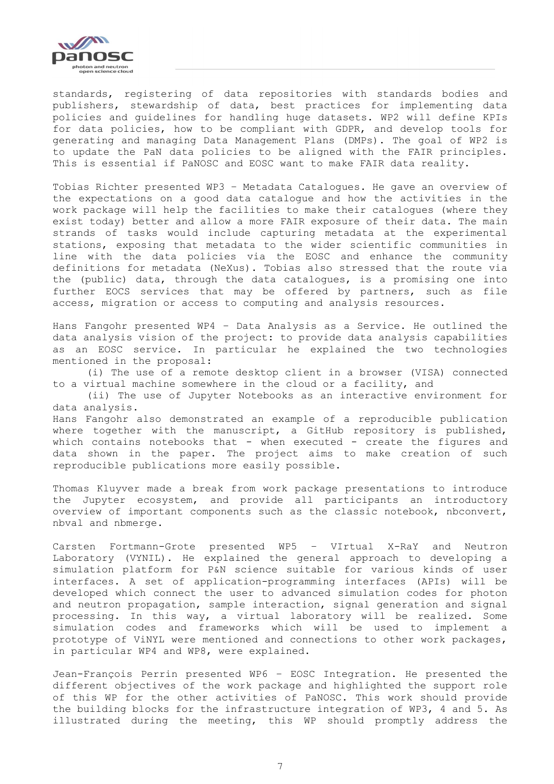

standards, registering of data repositories with standards bodies and publishers, stewardship of data, best practices for implementing data policies and guidelines for handling huge datasets. WP2 will define KPIs for data policies, how to be compliant with GDPR, and develop tools for generating and managing Data Management Plans (DMPs). The goal of WP2 is to update the PaN data policies to be aligned with the FAIR principles. This is essential if PaNOSC and EOSC want to make FAIR data reality.

Tobias Richter presented WP3 – Metadata Catalogues. He gave an overview of the expectations on a good data catalogue and how the activities in the work package will help the facilities to make their catalogues (where they exist today) better and allow a more FAIR exposure of their data. The main strands of tasks would include capturing metadata at the experimental stations, exposing that metadata to the wider scientific communities in line with the data policies via the EOSC and enhance the community definitions for metadata (NeXus). Tobias also stressed that the route via the (public) data, through the data catalogues, is a promising one into further EOCS services that may be offered by partners, such as file access, migration or access to computing and analysis resources.

Hans Fangohr presented WP4 – Data Analysis as a Service. He outlined the data analysis vision of the project: to provide data analysis capabilities as an EOSC service. In particular he explained the two technologies mentioned in the proposal:

(i) The use of a remote desktop client in a browser (VISA) connected to a virtual machine somewhere in the cloud or a facility, and

(ii) The use of Jupyter Notebooks as an interactive environment for data analysis.

Hans Fangohr also demonstrated an example of a reproducible publication where together with the manuscript, a GitHub repository is published, which contains notebooks that - when executed - create the figures and data shown in the paper. The project aims to make creation of such reproducible publications more easily possible.

Thomas Kluyver made a break from work package presentations to introduce the Jupyter ecosystem, and provide all participants an introductory overview of important components such as the classic notebook, nbconvert, nbval and nbmerge.

Carsten Fortmann-Grote presented WP5 – VIrtual X-RaY and Neutron Laboratory (VYNIL). He explained the general approach to developing a simulation platform for P&N science suitable for various kinds of user interfaces. A set of application-programming interfaces (APIs) will be developed which connect the user to advanced simulation codes for photon and neutron propagation, sample interaction, signal generation and signal processing. In this way, a virtual laboratory will be realized. Some simulation codes and frameworks which will be used to implement a prototype of ViNYL were mentioned and connections to other work packages, in particular WP4 and WP8, were explained.

Jean-François Perrin presented WP6 – EOSC Integration. He presented the different objectives of the work package and highlighted the support role of this WP for the other activities of PaNOSC. This work should provide the building blocks for the infrastructure integration of WP3, 4 and 5. As illustrated during the meeting, this WP should promptly address the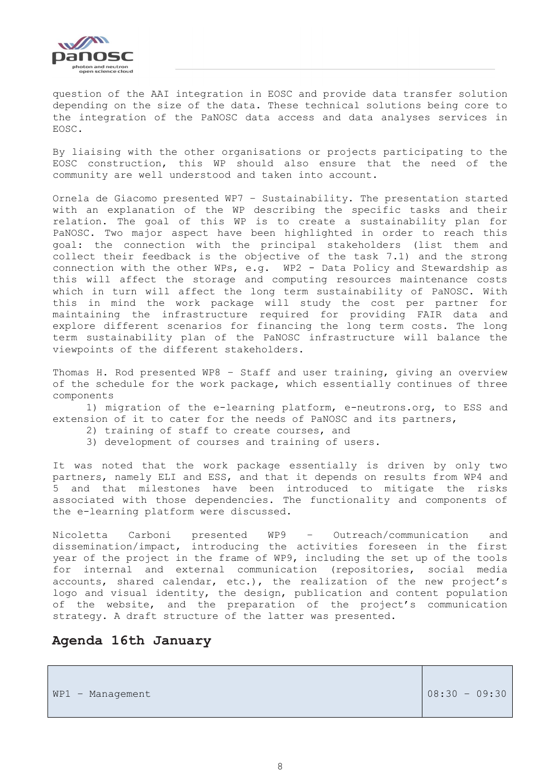

question of the AAI integration in EOSC and provide data transfer solution depending on the size of the data. These technical solutions being core to the integration of the PaNOSC data access and data analyses services in EOSC.

By liaising with the other organisations or projects participating to the EOSC construction, this WP should also ensure that the need of the community are well understood and taken into account.

Ornela de Giacomo presented WP7 – Sustainability. The presentation started with an explanation of the WP describing the specific tasks and their relation. The goal of this WP is to create a sustainability plan for PaNOSC. Two major aspect have been highlighted in order to reach this goal: the connection with the principal stakeholders (list them and collect their feedback is the objective of the task 7.1) and the strong connection with the other WPs, e.g. WP2 - Data Policy and Stewardship as this will affect the storage and computing resources maintenance costs which in turn will affect the long term sustainability of PaNOSC. With this in mind the work package will study the cost per partner for maintaining the infrastructure required for providing FAIR data and explore different scenarios for financing the long term costs. The long term sustainability plan of the PaNOSC infrastructure will balance the viewpoints of the different stakeholders.

Thomas H. Rod presented WP8 – Staff and user training, giving an overview of the schedule for the work package, which essentially continues of three components

1) migration of the e-learning platform, e-neutrons.org, to ESS and extension of it to cater for the needs of PaNOSC and its partners,

- 2) training of staff to create courses, and
- 3) development of courses and training of users.

It was noted that the work package essentially is driven by only two partners, namely ELI and ESS, and that it depends on results from WP4 and 5 and that milestones have been introduced to mitigate the risks associated with those dependencies. The functionality and components of the e-learning platform were discussed.

Nicoletta Carboni presented WP9 – Outreach/communication and dissemination/impact, introducing the activities foreseen in the first year of the project in the frame of WP9, including the set up of the tools for internal and external communication (repositories, social media accounts, shared calendar, etc.), the realization of the new project's logo and visual identity, the design, publication and content population of the website, and the preparation of the project's communication strategy. A draft structure of the latter was presented.

### <span id="page-7-0"></span>**Agenda 16th January**

| $ 08:30 - 09:30 $ |
|-------------------|
|                   |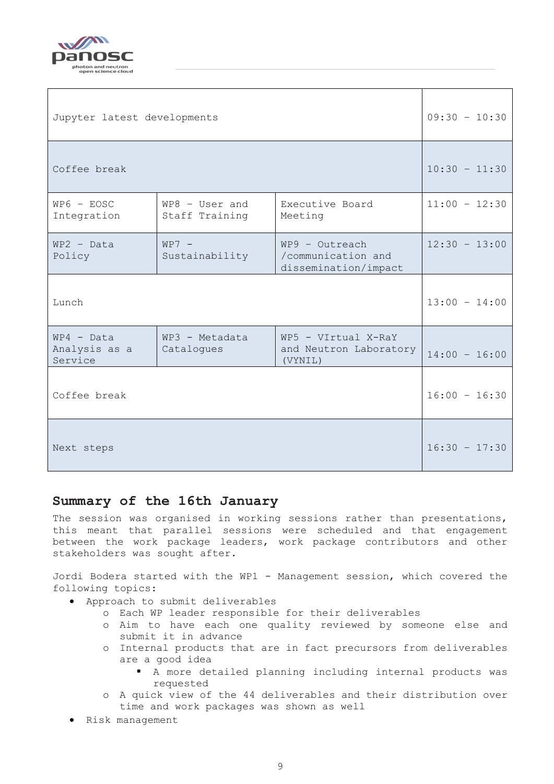

| Jupyter latest developments              | $09:30 - 10:30$                                                                             |                                                          |                 |  |
|------------------------------------------|---------------------------------------------------------------------------------------------|----------------------------------------------------------|-----------------|--|
| Coffee break                             | $10:30 - 11:30$                                                                             |                                                          |                 |  |
| $W P 6 - E O S C$<br>Integration         | WP8 - User and<br>Staff Training                                                            | Executive Board<br>Meeting                               | $11:00 - 12:30$ |  |
| $WP2 - Data$<br>Policy                   | $WP7 -$<br>$WP9 - Outreach$<br>/communication and<br>Sustainability<br>dissemination/impact |                                                          |                 |  |
| Lunch                                    |                                                                                             |                                                          | $13:00 - 14:00$ |  |
| $WP4 - Data$<br>Analysis as a<br>Service | WP3 - Metadata<br>Catalogues                                                                | WP5 - VIrtual X-RaY<br>and Neutron Laboratory<br>(VYNIL) | $14:00 - 16:00$ |  |
| Coffee break                             |                                                                                             |                                                          | $16:00 - 16:30$ |  |
| Next steps                               |                                                                                             |                                                          | $16:30 - 17:30$ |  |

### <span id="page-8-0"></span>**Summary of the 16th January**

The session was organised in working sessions rather than presentations, this meant that parallel sessions were scheduled and that engagement between the work package leaders, work package contributors and other stakeholders was sought after.

Jordi Bodera started with the WP1 - Management session, which covered the following topics:

- Approach to submit deliverables
	- o Each WP leader responsible for their deliverables
	- o Aim to have each one quality reviewed by someone else and submit it in advance
	- o Internal products that are in fact precursors from deliverables are a good idea
		- A more detailed planning including internal products was requested
	- o A quick view of the 44 deliverables and their distribution over time and work packages was shown as well
- Risk management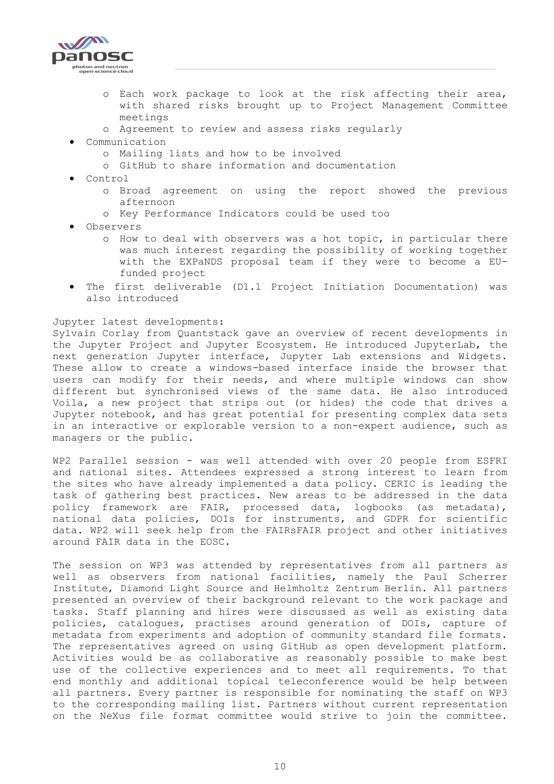

- o Each work package to look at the risk affecting their area, with shared risks brought up to Project Management Committee meetings
- o Agreement to review and assess risks regularly
- Communication
	- o Mailing lists and how to be involved
	- o GitHub to share information and documentation
- Control
	- o Broad agreement on using the report showed the previous afternoon
	- o Key Performance Indicators could be used too
- Observers
	- o How to deal with observers was a hot topic, in particular there was much interest regarding the possibility of working together with the EXPaNDS proposal team if they were to become a EUfunded project
- The first deliverable (D1.1 Project Initiation Documentation) was also introduced

#### Jupyter latest developments:

Sylvain Corlay from Quantstack gave an overview of recent developments in the Jupyter Project and Jupyter Ecosystem. He introduced JupyterLab, the next generation Jupyter interface, Jupyter Lab extensions and Widgets. These allow to create a windows-based interface inside the browser that users can modify for their needs, and where multiple windows can show different but synchronised views of the same data. He also introduced Voila, a new project that strips out (or hides) the code that drives a Jupyter notebook, and has great potential for presenting complex data sets in an interactive or explorable version to a non-expert audience, such as managers or the public.

WP2 Parallel session - was well attended with over 20 people from ESFRI and national sites. Attendees expressed a strong interest to learn from the sites who have already implemented a data policy. CERIC is leading the task of gathering best practices. New areas to be addressed in the data policy framework are FAIR, processed data, logbooks (as metadata), national data policies, DOIs for instruments, and GDPR for scientific data. WP2 will seek help from the FAIRsFAIR project and other initiatives around FAIR data in the EOSC.

The session on WP3 was attended by representatives from all partners as well as observers from national facilities, namely the Paul Scherrer Institute, Diamond Light Source and Helmholtz Zentrum Berlin. All partners presented an overview of their background relevant to the work package and tasks. Staff planning and hires were discussed as well as existing data policies, catalogues, practises around generation of DOIs, capture of metadata from experiments and adoption of community standard file formats. The representatives agreed on using GitHub as open development platform. Activities would be as collaborative as reasonably possible to make best use of the collective experiences and to meet all requirements. To that end monthly and additional topical teleconference would be help between all partners. Every partner is responsible for nominating the staff on WP3 to the corresponding mailing list. Partners without current representation on the NeXus file format committee would strive to join the committee.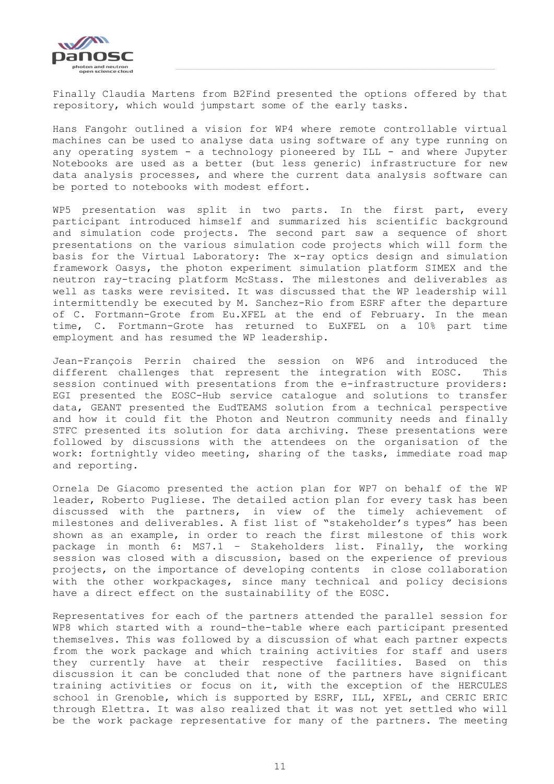

Finally Claudia Martens from B2Find presented the options offered by that repository, which would jumpstart some of the early tasks.

Hans Fangohr outlined a vision for WP4 where remote controllable virtual machines can be used to analyse data using software of any type running on any operating system - a technology pioneered by ILL - and where Jupyter Notebooks are used as a better (but less generic) infrastructure for new data analysis processes, and where the current data analysis software can be ported to notebooks with modest effort.

WP5 presentation was split in two parts. In the first part, every participant introduced himself and summarized his scientific background and simulation code projects. The second part saw a sequence of short presentations on the various simulation code projects which will form the basis for the Virtual Laboratory: The x-ray optics design and simulation framework Oasys, the photon experiment simulation platform SIMEX and the neutron ray-tracing platform McStass. The milestones and deliverables as well as tasks were revisited. It was discussed that the WP leadership will intermittendly be executed by M. Sanchez-Rio from ESRF after the departure of C. Fortmann-Grote from Eu.XFEL at the end of February. In the mean time, C. Fortmann-Grote has returned to EuXFEL on a 10% part time employment and has resumed the WP leadership.

Jean-François Perrin chaired the session on WP6 and introduced the different challenges that represent the integration with EOSC. This session continued with presentations from the e-infrastructure providers: EGI presented the EOSC-Hub service catalogue and solutions to transfer data, GEANT presented the EudTEAMS solution from a technical perspective and how it could fit the Photon and Neutron community needs and finally STFC presented its solution for data archiving. These presentations were followed by discussions with the attendees on the organisation of the work: fortnightly video meeting, sharing of the tasks, immediate road map and reporting.

Ornela De Giacomo presented the action plan for WP7 on behalf of the WP leader, Roberto Pugliese. The detailed action plan for every task has been discussed with the partners, in view of the timely achievement of milestones and deliverables. A fist list of "stakeholder's types" has been shown as an example, in order to reach the first milestone of this work package in month 6: MS7.1 – Stakeholders list. Finally, the working session was closed with a discussion, based on the experience of previous projects, on the importance of developing contents in close collaboration with the other workpackages, since many technical and policy decisions have a direct effect on the sustainability of the EOSC.

Representatives for each of the partners attended the parallel session for WP8 which started with a round-the-table where each participant presented themselves. This was followed by a discussion of what each partner expects from the work package and which training activities for staff and users they currently have at their respective facilities. Based on this discussion it can be concluded that none of the partners have significant training activities or focus on it, with the exception of the HERCULES school in Grenoble, which is supported by ESRF, ILL, XFEL, and CERIC ERIC through Elettra. It was also realized that it was not yet settled who will be the work package representative for many of the partners. The meeting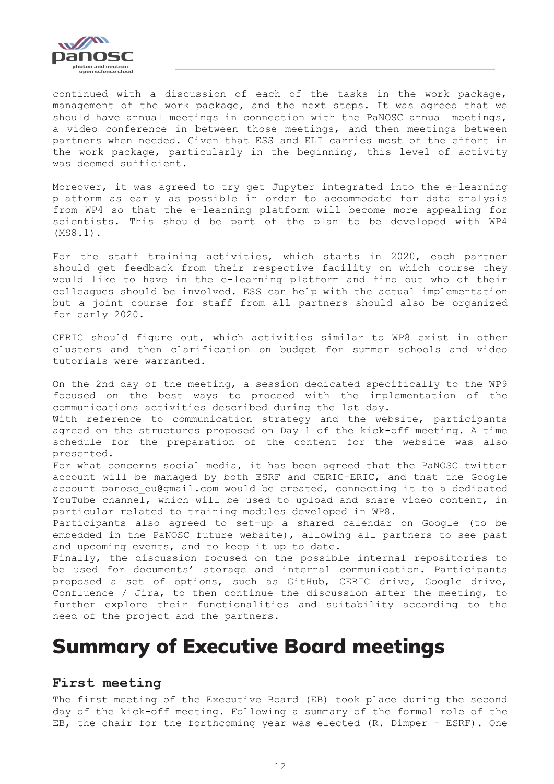

continued with a discussion of each of the tasks in the work package, management of the work package, and the next steps. It was agreed that we should have annual meetings in connection with the PaNOSC annual meetings, a video conference in between those meetings, and then meetings between partners when needed. Given that ESS and ELI carries most of the effort in the work package, particularly in the beginning, this level of activity was deemed sufficient.

Moreover, it was agreed to try get Jupyter integrated into the e-learning platform as early as possible in order to accommodate for data analysis from WP4 so that the e-learning platform will become more appealing for scientists. This should be part of the plan to be developed with WP4 (MS8.1).

For the staff training activities, which starts in 2020, each partner should get feedback from their respective facility on which course they would like to have in the e-learning platform and find out who of their colleagues should be involved. ESS can help with the actual implementation but a joint course for staff from all partners should also be organized for early 2020.

CERIC should figure out, which activities similar to WP8 exist in other clusters and then clarification on budget for summer schools and video tutorials were warranted.

On the 2nd day of the meeting, a session dedicated specifically to the WP9 focused on the best ways to proceed with the implementation of the communications activities described during the 1st day.

With reference to communication strategy and the website, participants agreed on the structures proposed on Day 1 of the kick-off meeting. A time schedule for the preparation of the content for the website was also presented.

For what concerns social media, it has been agreed that the PaNOSC twitter account will be managed by both ESRF and CERIC-ERIC, and that the Google account panosc eu@gmail.com would be created, connecting it to a dedicated YouTube channel, which will be used to upload and share video content, in particular related to training modules developed in WP8.

Participants also agreed to set-up a shared calendar on Google (to be embedded in the PaNOSC future website), allowing all partners to see past and upcoming events, and to keep it up to date.

Finally, the discussion focused on the possible internal repositories to be used for documents' storage and internal communication. Participants proposed a set of options, such as GitHub, CERIC drive, Google drive, Confluence / Jira, to then continue the discussion after the meeting, to further explore their functionalities and suitability according to the need of the project and the partners.

# <span id="page-11-0"></span>Summary of Executive Board meetings

#### <span id="page-11-1"></span>**First meeting**

The first meeting of the Executive Board (EB) took place during the second day of the kick-off meeting. Following a summary of the formal role of the EB, the chair for the forthcoming year was elected (R. Dimper - ESRF). One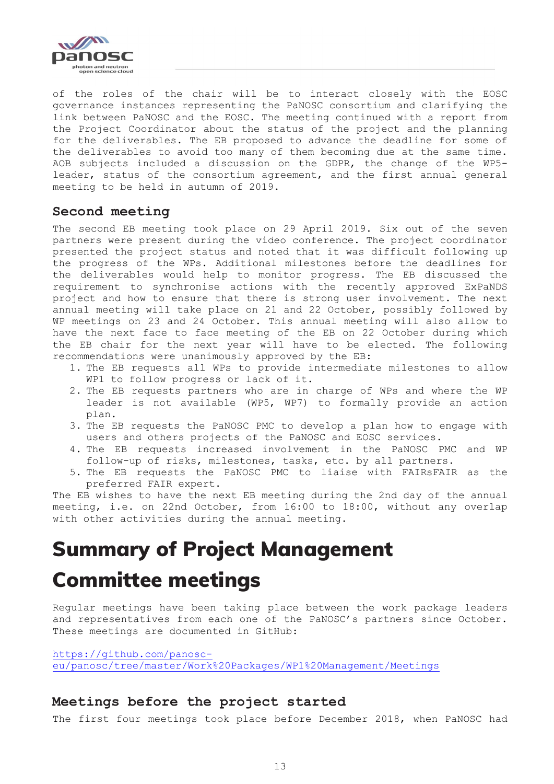

of the roles of the chair will be to interact closely with the EOSC governance instances representing the PaNOSC consortium and clarifying the link between PaNOSC and the EOSC. The meeting continued with a report from the Project Coordinator about the status of the project and the planning for the deliverables. The EB proposed to advance the deadline for some of the deliverables to avoid too many of them becoming due at the same time. AOB subjects included a discussion on the GDPR, the change of the WP5 leader, status of the consortium agreement, and the first annual general meeting to be held in autumn of 2019.

### <span id="page-12-0"></span>**Second meeting**

The second EB meeting took place on 29 April 2019. Six out of the seven partners were present during the video conference. The project coordinator presented the project status and noted that it was difficult following up the progress of the WPs. Additional milestones before the deadlines for the deliverables would help to monitor progress. The EB discussed the requirement to synchronise actions with the recently approved ExPaNDS project and how to ensure that there is strong user involvement. The next annual meeting will take place on 21 and 22 October, possibly followed by WP meetings on 23 and 24 October. This annual meeting will also allow to have the next face to face meeting of the EB on 22 October during which the EB chair for the next year will have to be elected. The following recommendations were unanimously approved by the EB:

- 1. The EB requests all WPs to provide intermediate milestones to allow WP1 to follow progress or lack of it.
- 2. The EB requests partners who are in charge of WPs and where the WP leader is not available (WP5, WP7) to formally provide an action plan.
- 3. The EB requests the PaNOSC PMC to develop a plan how to engage with users and others projects of the PaNOSC and EOSC services.
- 4. The EB requests increased involvement in the PaNOSC PMC and WP follow-up of risks, milestones, tasks, etc. by all partners.
- 5. The EB requests the PaNOSC PMC to liaise with FAIRsFAIR as the preferred FAIR expert.

The EB wishes to have the next EB meeting during the 2nd day of the annual meeting, i.e. on 22nd October, from 16:00 to 18:00, without any overlap with other activities during the annual meeting.

# <span id="page-12-1"></span>Summary of Project Management Committee meetings

Regular meetings have been taking place between the work package leaders and representatives from each one of the PaNOSC's partners since October. These meetings are documented in GitHub:

[https://github.com/panosc](https://github.com/panosc-eu/panosc/tree/master/Work%20Packages/WP1%20Management/Meetings)[eu/panosc/tree/master/Work%20Packages/WP1%20Management/Meetings](https://github.com/panosc-eu/panosc/tree/master/Work%20Packages/WP1%20Management/Meetings)

## <span id="page-12-2"></span>**Meetings before the project started**

The first four meetings took place before December 2018, when PaNOSC had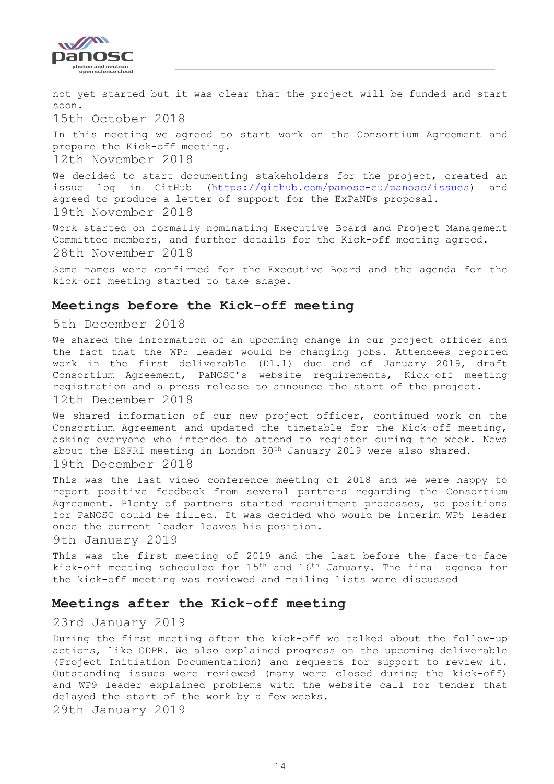

not yet started but it was clear that the project will be funded and start soon. 15th October 2018 In this meeting we agreed to start work on the Consortium Agreement and prepare the Kick-off meeting. 12th November 2018

We decided to start documenting stakeholders for the project, created an issue log in GitHub [\(https://github.com/panosc-eu/panosc/issues\)](https://github.com/panosc-eu/panosc/issues) and agreed to produce a letter of support for the ExPaNDs proposal. 19th November 2018

Work started on formally nominating Executive Board and Project Management Committee members, and further details for the Kick-off meeting agreed. 28th November 2018

Some names were confirmed for the Executive Board and the agenda for the kick-off meeting started to take shape.

### <span id="page-13-0"></span>**Meetings before the Kick-off meeting**

5th December 2018

We shared the information of an upcoming change in our project officer and the fact that the WP5 leader would be changing jobs. Attendees reported work in the first deliverable (D1.1) due end of January 2019, draft Consortium Agreement, PaNOSC's website requirements, Kick-off meeting registration and a press release to announce the start of the project. 12th December 2018

We shared information of our new project officer, continued work on the Consortium Agreement and updated the timetable for the Kick-off meeting, asking everyone who intended to attend to register during the week. News about the ESFRI meeting in London 30<sup>th</sup> January 2019 were also shared.

#### 19th December 2018

This was the last video conference meeting of 2018 and we were happy to report positive feedback from several partners regarding the Consortium Agreement. Plenty of partners started recruitment processes, so positions for PaNOSC could be filled. It was decided who would be interim WP5 leader once the current leader leaves his position.

9th January 2019

This was the first meeting of 2019 and the last before the face-to-face kick-off meeting scheduled for 15th and 16th January. The final agenda for the kick-off meeting was reviewed and mailing lists were discussed

### <span id="page-13-1"></span>**Meetings after the Kick-off meeting**

#### 23rd January 2019

During the first meeting after the kick-off we talked about the follow-up actions, like GDPR. We also explained progress on the upcoming deliverable (Project Initiation Documentation) and requests for support to review it. Outstanding issues were reviewed (many were closed during the kick-off) and WP9 leader explained problems with the website call for tender that delayed the start of the work by a few weeks.

29th January 2019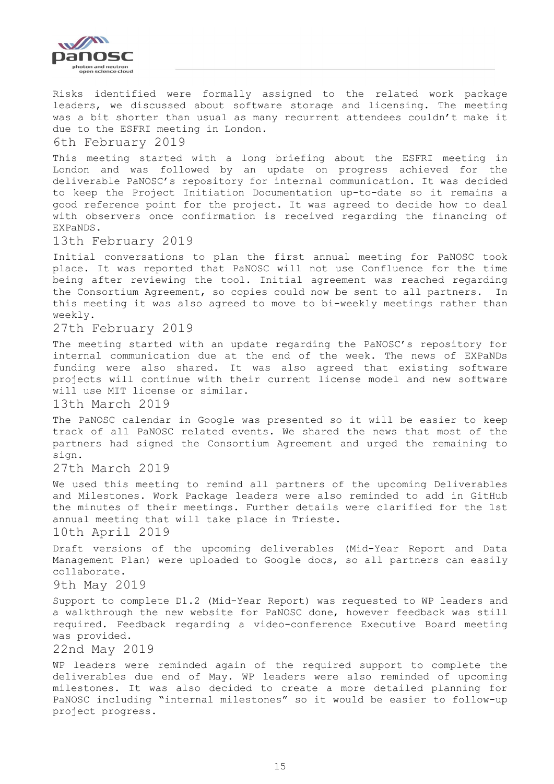

Risks identified were formally assigned to the related work package leaders, we discussed about software storage and licensing. The meeting was a bit shorter than usual as many recurrent attendees couldn't make it due to the ESFRI meeting in London.

6th February 2019

This meeting started with a long briefing about the ESFRI meeting in London and was followed by an update on progress achieved for the deliverable PaNOSC's repository for internal communication. It was decided to keep the Project Initiation Documentation up-to-date so it remains a good reference point for the project. It was agreed to decide how to deal with observers once confirmation is received regarding the financing of EXPaNDS.

13th February 2019

Initial conversations to plan the first annual meeting for PaNOSC took place. It was reported that PaNOSC will not use Confluence for the time being after reviewing the tool. Initial agreement was reached regarding the Consortium Agreement, so copies could now be sent to all partners. In this meeting it was also agreed to move to bi-weekly meetings rather than weekly.

27th February 2019

The meeting started with an update regarding the PaNOSC's repository for internal communication due at the end of the week. The news of EXPaNDs funding were also shared. It was also agreed that existing software projects will continue with their current license model and new software will use MIT license or similar.

13th March 2019

The PaNOSC calendar in Google was presented so it will be easier to keep track of all PaNOSC related events. We shared the news that most of the partners had signed the Consortium Agreement and urged the remaining to sign.

27th March 2019

We used this meeting to remind all partners of the upcoming Deliverables and Milestones. Work Package leaders were also reminded to add in GitHub the minutes of their meetings. Further details were clarified for the 1st annual meeting that will take place in Trieste.

10th April 2019

Draft versions of the upcoming deliverables (Mid-Year Report and Data Management Plan) were uploaded to Google docs, so all partners can easily collaborate.

9th May 2019

Support to complete D1.2 (Mid-Year Report) was requested to WP leaders and a walkthrough the new website for PaNOSC done, however feedback was still required. Feedback regarding a video-conference Executive Board meeting was provided.

22nd May 2019

WP leaders were reminded again of the required support to complete the deliverables due end of May. WP leaders were also reminded of upcoming milestones. It was also decided to create a more detailed planning for PaNOSC including "internal milestones" so it would be easier to follow-up project progress.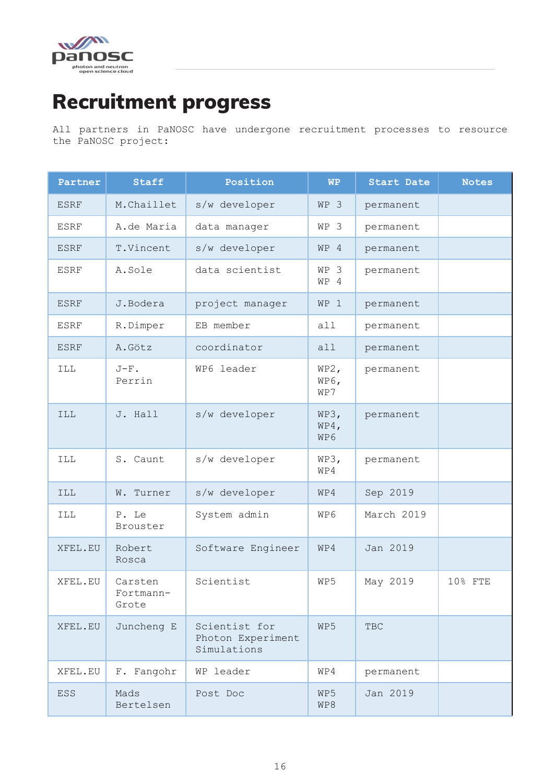

# <span id="page-15-0"></span>Recruitment progress

All partners in PaNOSC have undergone recruitment processes to resource the PaNOSC project:

| Partner     | <b>Staff</b>                  | Position                                          | <b>WP</b>           | <b>Start Date</b> | <b>Notes</b> |
|-------------|-------------------------------|---------------------------------------------------|---------------------|-------------------|--------------|
| <b>ESRF</b> | M.Chaillet                    | s/w developer                                     | WP 3                | permanent         |              |
| <b>ESRF</b> | A.de Maria                    | data manager                                      | WP 3                | permanent         |              |
| <b>ESRF</b> | T.Vincent                     | s/w developer                                     | $WP$ 4              | permanent         |              |
| <b>ESRF</b> | A.Sole                        | data scientist                                    | WP 3<br>WP 4        | permanent         |              |
| <b>ESRF</b> | J.Bodera                      | project manager                                   | WP 1                | permanent         |              |
| <b>ESRF</b> | R.Dimper                      | EB member                                         | all                 | permanent         |              |
| <b>ESRF</b> | A.Götz                        | coordinator                                       | all                 | permanent         |              |
| <b>ILL</b>  | $J-F$ .<br>Perrin             | WP6 leader                                        | WP2,<br>WP6,<br>WP7 | permanent         |              |
| <b>ILL</b>  | J. Hall                       | s/w developer                                     | WP3,<br>WP4,<br>WP6 | permanent         |              |
| <b>ILL</b>  | S. Caunt                      | s/w developer                                     | WP3,<br>WP4         | permanent         |              |
| <b>ILL</b>  | W. Turner                     | s/w developer                                     | WP4                 | Sep 2019          |              |
| <b>ILL</b>  | P. Le<br>Brouster             | System admin                                      | WP6                 | March 2019        |              |
| XFEL.EU     | Robert<br>Rosca               | Software Engineer                                 | WP4                 | Jan 2019          |              |
| XFEL.EU     | Carsten<br>Fortmann-<br>Grote | Scientist                                         | WP5                 | May 2019          | 10% FTE      |
| XFEL.EU     | Juncheng E                    | Scientist for<br>Photon Experiment<br>Simulations | WP5                 | <b>TBC</b>        |              |
| XFEL.EU     | F. Fangohr                    | WP leader                                         | WP4                 | permanent         |              |
| <b>ESS</b>  | Mads<br>Bertelsen             | Post Doc                                          | WP5<br>WP8          | Jan 2019          |              |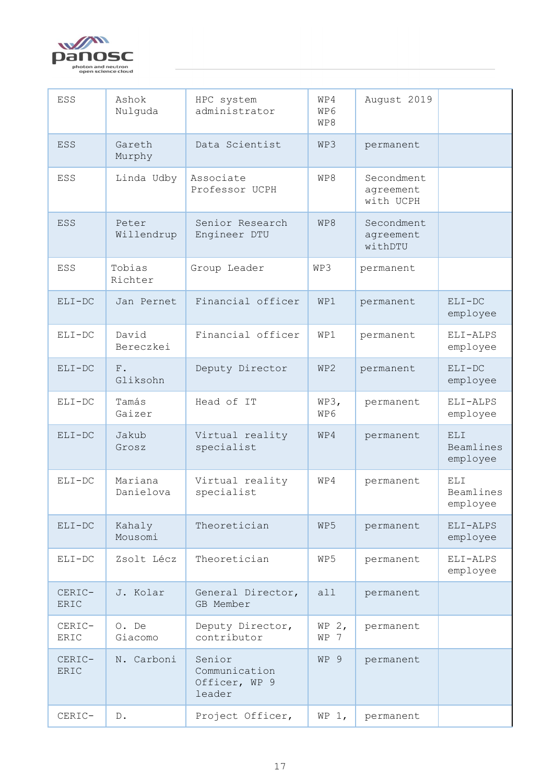

| ESS            | Ashok<br>Nulquda        | HPC system<br>administrator                        | WP4<br>WP6<br>WP8 | August 2019                          |                               |
|----------------|-------------------------|----------------------------------------------------|-------------------|--------------------------------------|-------------------------------|
| <b>ESS</b>     | Gareth<br>Murphy        | Data Scientist                                     | WP3               | permanent                            |                               |
| ESS            | Linda Udby              | Associate<br>Professor UCPH                        | WP8               | Secondment<br>agreement<br>with UCPH |                               |
| <b>ESS</b>     | Peter<br>Willendrup     | Senior Research<br>Engineer DTU                    | WP8               | Secondment<br>agreement<br>withDTU   |                               |
| ESS            | Tobias<br>Richter       | Group Leader                                       | WP3               | permanent                            |                               |
| $ELI-DC$       | Jan Pernet              | Financial officer                                  | WP1               | permanent                            | $ELI-DC$<br>employee          |
| $ELI-DC$       | David<br>Bereczkei      | Financial officer                                  | WPI               | permanent                            | ELI-ALPS<br>employee          |
| $ELI-DC$       | ${\rm F}$ .<br>Gliksohn | Deputy Director                                    | WP2               | permanent                            | $ELI-DC$<br>employee          |
| $ELI-DC$       | Tamás<br>Gaizer         | Head of IT                                         | WP3,<br>WP6       | permanent                            | ELI-ALPS<br>employee          |
| $ELI-DC$       | Jakub<br>Grosz          | Virtual reality<br>specialist                      | WP4               | permanent                            | ELI.<br>Beamlines<br>employee |
| $ELI-DC$       | Mariana<br>Danielova    | Virtual reality<br>specialist                      | WP4               | permanent                            | ELI.<br>Beamlines<br>employee |
| $ELI-DC$       | Kahaly<br>Mousomi       | Theoretician                                       | WP5               | permanent                            | ELI-ALPS<br>employee          |
| $ELI-DC$       | Zsolt Lécz              | Theoretician                                       | WP5               | permanent                            | ELI-ALPS<br>employee          |
| CERIC-<br>ERIC | J. Kolar                | General Director,<br>GB Member                     | all               | permanent                            |                               |
| CERIC-<br>ERIC | O. De<br>Giacomo        | Deputy Director,<br>contributor                    | WP $2,$<br>WP 7   | permanent                            |                               |
| CERIC-<br>ERIC | N. Carboni              | Senior<br>Communication<br>Officer, WP 9<br>leader | WP 9              | permanent                            |                               |
| CERIC-         | $D$ .                   | Project Officer,                                   | WP $1,$           | permanent                            |                               |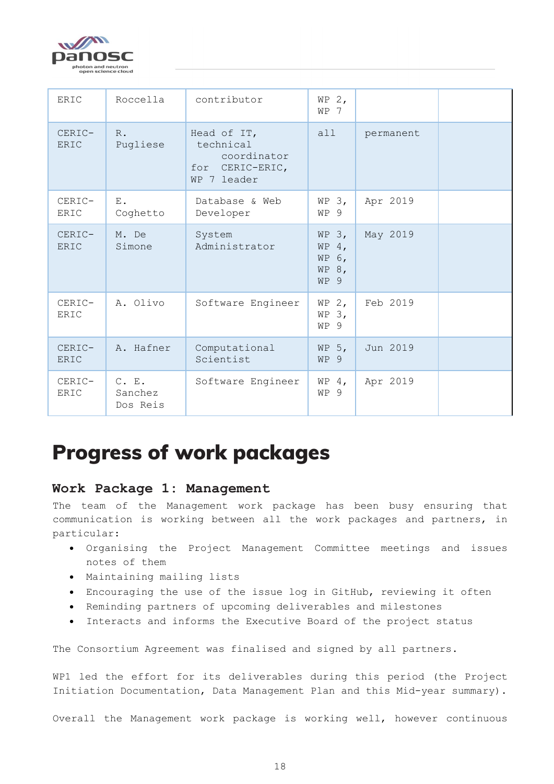

| ERIC                  | Roccella                     | contributor                                                                  | WP $2,$<br>WP 7                              |           |  |
|-----------------------|------------------------------|------------------------------------------------------------------------------|----------------------------------------------|-----------|--|
| CERIC-<br>ERIC        | $R$ .<br>Pugliese            | Head of IT,<br>technical<br>coordinator<br>CERIC-ERIC,<br>for<br>WP 7 leader | all                                          | permanent |  |
| CERIC-<br>ERIC        | $E$ .<br>Coghetto            | Database & Web<br>Developer                                                  | WP 3,<br>WP 9                                | Apr 2019  |  |
| CERIC-<br><b>ERIC</b> | M. De<br>Simone              | System<br>Administrator                                                      | WP $3,$<br>WP $4,$<br>WP 6,<br>WP 8,<br>WP 9 | May 2019  |  |
| CERIC-<br>ERIC        | A. Olivo                     | Software Engineer                                                            | $WP$ 2,<br>WP 3,<br>WP 9                     | Feb 2019  |  |
| CERIC-<br>ERIC        | A. Hafner                    | Computational<br>Scientist                                                   | WP $5,$<br>WP 9                              | Jun 2019  |  |
| CERIC-<br>ERIC        | C. E.<br>Sanchez<br>Dos Reis | Software Engineer                                                            | WP $4,$<br>WP 9                              | Apr 2019  |  |

# <span id="page-17-0"></span>Progress of work packages

## <span id="page-17-1"></span>**Work Package 1: Management**

The team of the Management work package has been busy ensuring that communication is working between all the work packages and partners, in particular:

- Organising the Project Management Committee meetings and issues notes of them
- Maintaining mailing lists
- Encouraging the use of the issue log in GitHub, reviewing it often
- Reminding partners of upcoming deliverables and milestones
- Interacts and informs the Executive Board of the project status

The Consortium Agreement was finalised and signed by all partners.

WP1 led the effort for its deliverables during this period (the Project Initiation Documentation, Data Management Plan and this Mid-year summary).

Overall the Management work package is working well, however continuous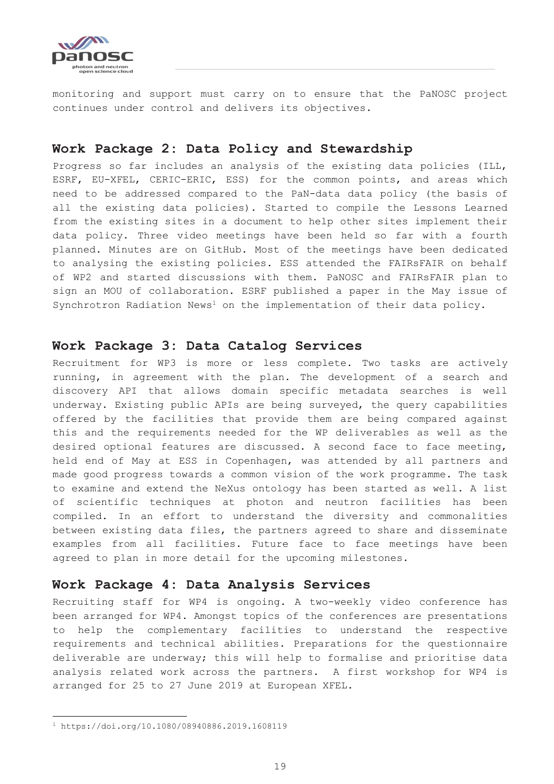

monitoring and support must carry on to ensure that the PaNOSC project continues under control and delivers its objectives.

### <span id="page-18-0"></span>**Work Package 2: Data Policy and Stewardship**

Progress so far includes an analysis of the existing data policies (ILL, ESRF, EU-XFEL, CERIC-ERIC, ESS) for the common points, and areas which need to be addressed compared to the PaN-data data policy (the basis of all the existing data policies). Started to compile the Lessons Learned from the existing sites in a document to help other sites implement their data policy. Three video meetings have been held so far with a fourth planned. Minutes are on GitHub. Most of the meetings have been dedicated to analysing the existing policies. ESS attended the FAIRsFAIR on behalf of WP2 and started discussions with them. PaNOSC and FAIRsFAIR plan to sign an MOU of collaboration. ESRF published a paper in the May issue of Synchrotron Radiation News<sup>1</sup> on the implementation of their data policy.

### <span id="page-18-1"></span>**Work Package 3: Data Catalog Services**

Recruitment for WP3 is more or less complete. Two tasks are actively running, in agreement with the plan. The development of a search and discovery API that allows domain specific metadata searches is well underway. Existing public APIs are being surveyed, the query capabilities offered by the facilities that provide them are being compared against this and the requirements needed for the WP deliverables as well as the desired optional features are discussed. A second face to face meeting, held end of May at ESS in Copenhagen, was attended by all partners and made good progress towards a common vision of the work programme. The task to examine and extend the NeXus ontology has been started as well. A list of scientific techniques at photon and neutron facilities has been compiled. In an effort to understand the diversity and commonalities between existing data files, the partners agreed to share and disseminate examples from all facilities. Future face to face meetings have been agreed to plan in more detail for the upcoming milestones.

### <span id="page-18-2"></span>**Work Package 4: Data Analysis Services**

Recruiting staff for WP4 is ongoing. A two-weekly video conference has been arranged for WP4. Amongst topics of the conferences are presentations to help the complementary facilities to understand the respective requirements and technical abilities. Preparations for the questionnaire deliverable are underway; this will help to formalise and prioritise data analysis related work across the partners. A first workshop for WP4 is arranged for 25 to 27 June 2019 at European XFEL.

<sup>1</sup> https://doi.org/10.1080/08940886.2019.1608119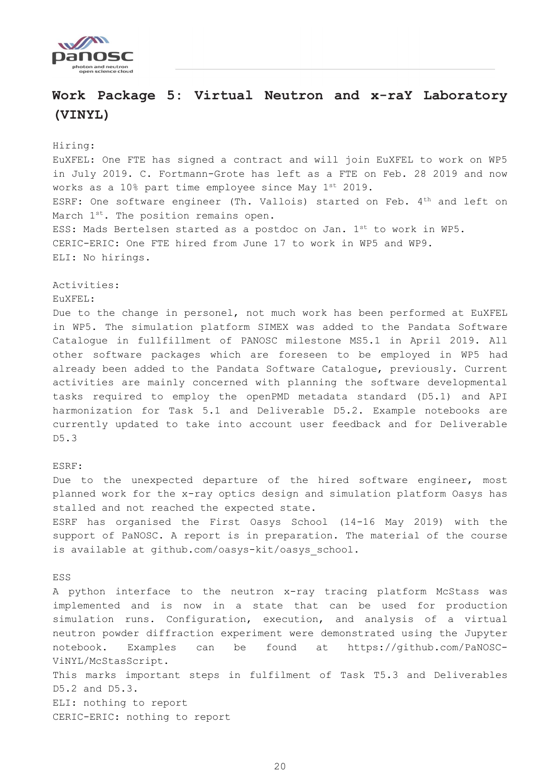

# <span id="page-19-0"></span>**Work Package 5: Virtual Neutron and x-raY Laboratory (VINYL)**

#### Hiring:

EuXFEL: One FTE has signed a contract and will join EuXFEL to work on WP5 in July 2019. C. Fortmann-Grote has left as a FTE on Feb. 28 2019 and now works as a 10% part time employee since May 1st 2019. ESRF: One software engineer (Th. Vallois) started on Feb. 4<sup>th</sup> and left on March 1<sup>st</sup>. The position remains open. ESS: Mads Bertelsen started as a postdoc on Jan. 1st to work in WP5. CERIC-ERIC: One FTE hired from June 17 to work in WP5 and WP9. ELI: No hirings.

Activities:

EuXFEL:

Due to the change in personel, not much work has been performed at EuXFEL in WP5. The simulation platform SIMEX was added to the Pandata Software Catalogue in fullfillment of PANOSC milestone MS5.1 in April 2019. All other software packages which are foreseen to be employed in WP5 had already been added to the Pandata Software Catalogue, previously. Current activities are mainly concerned with planning the software developmental tasks required to employ the openPMD metadata standard (D5.1) and API harmonization for Task 5.1 and Deliverable D5.2. Example notebooks are currently updated to take into account user feedback and for Deliverable D5.3

#### ESRF:

Due to the unexpected departure of the hired software engineer, most planned work for the x-ray optics design and simulation platform Oasys has stalled and not reached the expected state. ESRF has organised the First Oasys School (14-16 May 2019) with the

support of PaNOSC. A report is in preparation. The material of the course is available at github.com/oasys-kit/oasys\_school.

#### ESS

A python interface to the neutron x-ray tracing platform McStass was implemented and is now in a state that can be used for production simulation runs. Configuration, execution, and analysis of a virtual neutron powder diffraction experiment were demonstrated using the Jupyter notebook. Examples can be found at https://github.com/PaNOSC-ViNYL/McStasScript. This marks important steps in fulfilment of Task T5.3 and Deliverables D5.2 and D5.3. ELI: nothing to report

CERIC-ERIC: nothing to report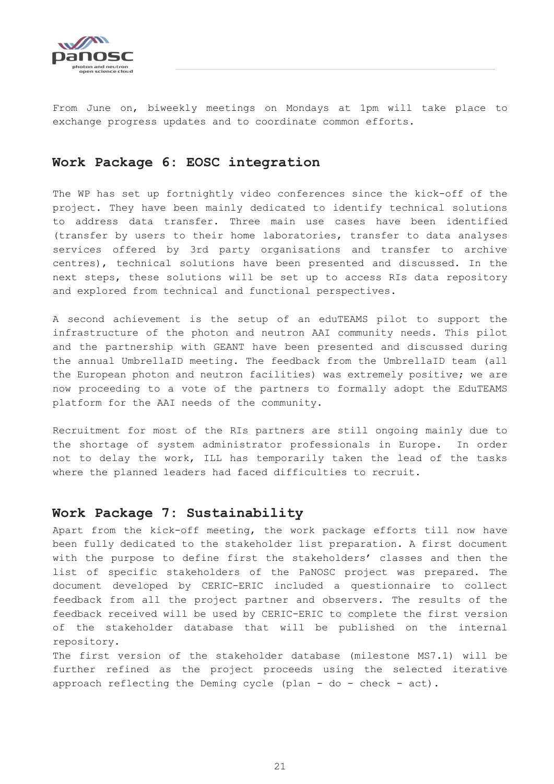

From June on, biweekly meetings on Mondays at 1pm will take place to exchange progress updates and to coordinate common efforts.

### <span id="page-20-0"></span>**Work Package 6: EOSC integration**

The WP has set up fortnightly video conferences since the kick-off of the project. They have been mainly dedicated to identify technical solutions to address data transfer. Three main use cases have been identified (transfer by users to their home laboratories, transfer to data analyses services offered by 3rd party organisations and transfer to archive centres), technical solutions have been presented and discussed. In the next steps, these solutions will be set up to access RIs data repository and explored from technical and functional perspectives.

A second achievement is the setup of an eduTEAMS pilot to support the infrastructure of the photon and neutron AAI community needs. This pilot and the partnership with GEANT have been presented and discussed during the annual UmbrellaID meeting. The feedback from the UmbrellaID team (all the European photon and neutron facilities) was extremely positive; we are now proceeding to a vote of the partners to formally adopt the EduTEAMS platform for the AAI needs of the community.

Recruitment for most of the RIs partners are still ongoing mainly due to the shortage of system administrator professionals in Europe. In order not to delay the work, ILL has temporarily taken the lead of the tasks where the planned leaders had faced difficulties to recruit.

### <span id="page-20-1"></span>**Work Package 7: Sustainability**

Apart from the kick-off meeting, the work package efforts till now have been fully dedicated to the stakeholder list preparation. A first document with the purpose to define first the stakeholders' classes and then the list of specific stakeholders of the PaNOSC project was prepared. The document developed by CERIC-ERIC included a questionnaire to collect feedback from all the project partner and observers. The results of the feedback received will be used by CERIC-ERIC to complete the first version of the stakeholder database that will be published on the internal repository.

The first version of the stakeholder database (milestone MS7.1) will be further refined as the project proceeds using the selected iterative approach reflecting the Deming cycle (plan - do - check - act).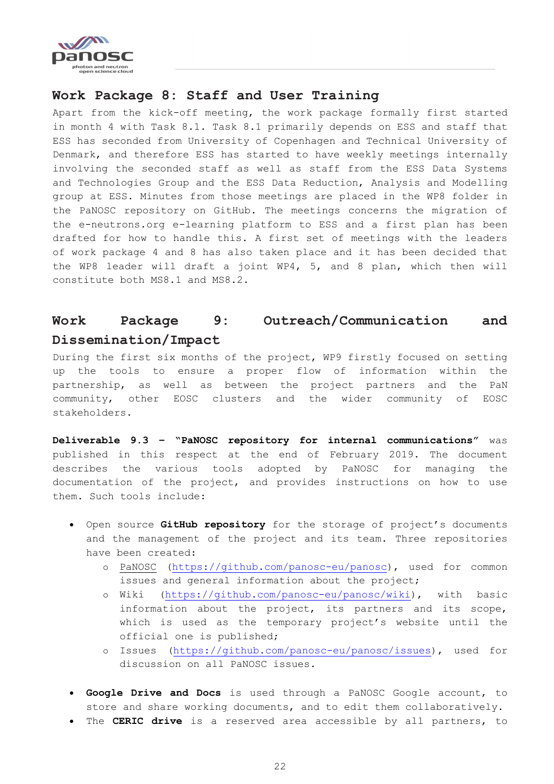

### <span id="page-21-0"></span>**Work Package 8: Staff and User Training**

Apart from the kick-off meeting, the work package formally first started in month 4 with Task 8.1. Task 8.1 primarily depends on ESS and staff that ESS has seconded from University of Copenhagen and Technical University of Denmark, and therefore ESS has started to have weekly meetings internally involving the seconded staff as well as staff from the ESS Data Systems and Technologies Group and the ESS Data Reduction, Analysis and Modelling group at ESS. Minutes from those meetings are placed in the WP8 folder in the PaNOSC repository on GitHub. The meetings concerns the migration of the e-neutrons.org e-learning platform to ESS and a first plan has been drafted for how to handle this. A first set of meetings with the leaders of work package 4 and 8 has also taken place and it has been decided that the WP8 leader will draft a joint WP4, 5, and 8 plan, which then will constitute both MS8.1 and MS8.2.

# <span id="page-21-1"></span>**Work Package 9: Outreach/Communication and Dissemination/Impact**

During the first six months of the project, WP9 firstly focused on setting up the tools to ensure a proper flow of information within the partnership, as well as between the project partners and the PaN community, other EOSC clusters and the wider community of EOSC stakeholders.

**Deliverable 9.3 – "PaNOSC repository for internal communications"** was published in this respect at the end of February 2019. The document describes the various tools adopted by PaNOSC for managing the documentation of the project, and provides instructions on how to use them. Such tools include:

- Open source **GitHub repository** for the storage of project's documents and the management of the project and its team. Three repositories have been created:
	- o PaNOSC [\(https://github.com/panosc-eu/panosc\)](https://github.com/panosc-eu/panosc), used for common issues and general information about the project;
	- o Wiki [\(https://github.com/panosc-eu/panosc/wiki\)](https://github.com/panosc-eu/panosc/wiki), with basic information about the project, its partners and its scope, which is used as the temporary project's website until the official one is published;
	- o Issues [\(https://github.com/panosc-eu/panosc/issues\)](https://github.com/panosc-eu/panosc/issues), used for discussion on all PaNOSC issues.
- **Google Drive and Docs** is used through a PaNOSC Google account, to store and share working documents, and to edit them collaboratively.
- The **CERIC drive** is a reserved area accessible by all partners, to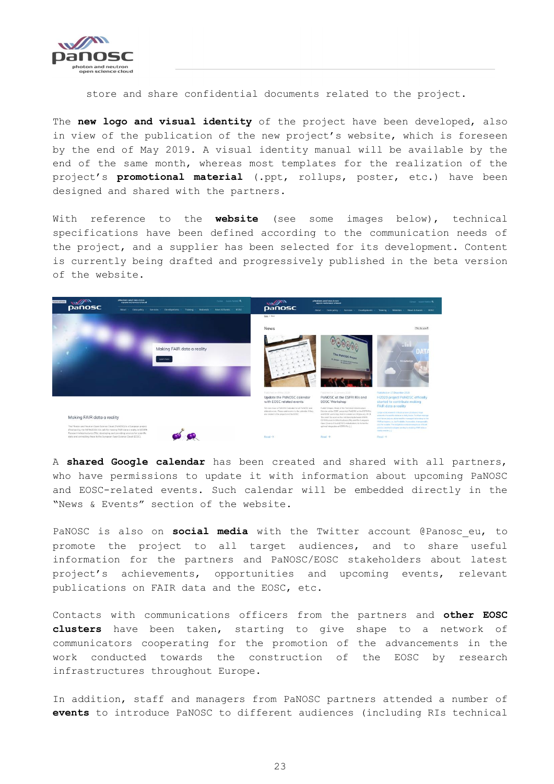

store and share confidential documents related to the project.

The **new logo and visual identity** of the project have been developed, also in view of the publication of the new project's website, which is foreseen by the end of May 2019. A visual identity manual will be available by the end of the same month, whereas most templates for the realization of the project's **promotional material** (.ppt, rollups, poster, etc.) have been designed and shared with the partners.

With reference to the **website** (see some images below), technical specifications have been defined according to the communication needs of the project, and a supplier has been selected for its development. Content is currently being drafted and progressively published in the beta version of the website.



A **shared Google calendar** has been created and shared with all partners, who have permissions to update it with information about upcoming PaNOSC and EOSC-related events. Such calendar will be embedded directly in the "News & Events" section of the website.

PaNOSC is also on **social media** with the Twitter account @Panosc\_eu, to promote the project to all target audiences, and to share useful information for the partners and PaNOSC/EOSC stakeholders about latest project's achievements, opportunities and upcoming events, relevant publications on FAIR data and the EOSC, etc.

Contacts with communications officers from the partners and **other EOSC clusters** have been taken, starting to give shape to a network of communicators cooperating for the promotion of the advancements in the work conducted towards the construction of the EOSC by research infrastructures throughout Europe.

In addition, staff and managers from PaNOSC partners attended a number of **events** to introduce PaNOSC to different audiences (including RIs technical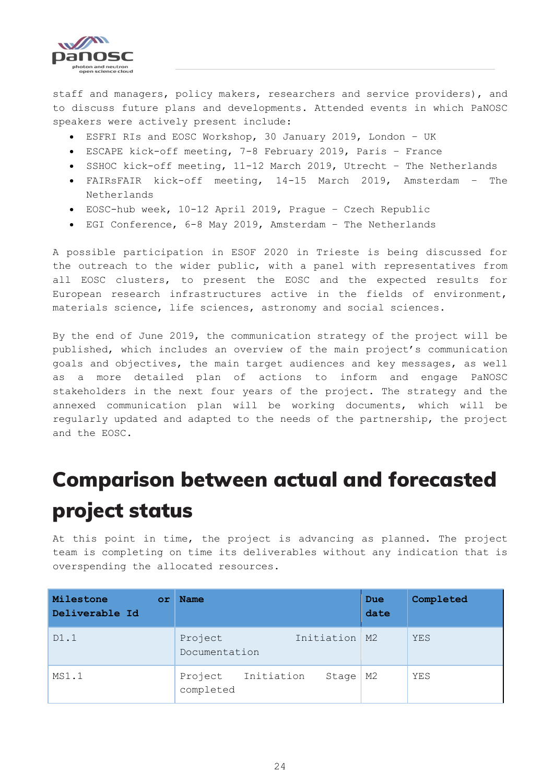

staff and managers, policy makers, researchers and service providers), and to discuss future plans and developments. Attended events in which PaNOSC speakers were actively present include:

- ESFRI RIs and EOSC Workshop, 30 January 2019, London UK
- ESCAPE kick-off meeting, 7-8 February 2019, Paris France
- SSHOC kick-off meeting, 11-12 March 2019, Utrecht The Netherlands
- FAIRsFAIR kick-off meeting, 14-15 March 2019, Amsterdam The Netherlands
- EOSC-hub week, 10-12 April 2019, Prague Czech Republic
- EGI Conference, 6-8 May 2019, Amsterdam The Netherlands

A possible participation in ESOF 2020 in Trieste is being discussed for the outreach to the wider public, with a panel with representatives from all EOSC clusters, to present the EOSC and the expected results for European research infrastructures active in the fields of environment, materials science, life sciences, astronomy and social sciences.

By the end of June 2019, the communication strategy of the project will be published, which includes an overview of the main project's communication goals and objectives, the main target audiences and key messages, as well as a more detailed plan of actions to inform and engage PaNOSC stakeholders in the next four years of the project. The strategy and the annexed communication plan will be working documents, which will be regularly updated and adapted to the needs of the partnership, the project and the EOSC.

# <span id="page-23-0"></span>Comparison between actual and forecasted project status

At this point in time, the project is advancing as planned. The project team is completing on time its deliverables without any indication that is overspending the allocated resources.

| Milestone<br>or<br>Deliverable Id | <b>Name</b>                                 | Due<br>date | Completed |
|-----------------------------------|---------------------------------------------|-------------|-----------|
| D1.1                              | Initiation   M2<br>Project<br>Documentation |             | YES       |
| MS1.1                             | Initiation<br>Project<br>Stage<br>completed | М2          | YES       |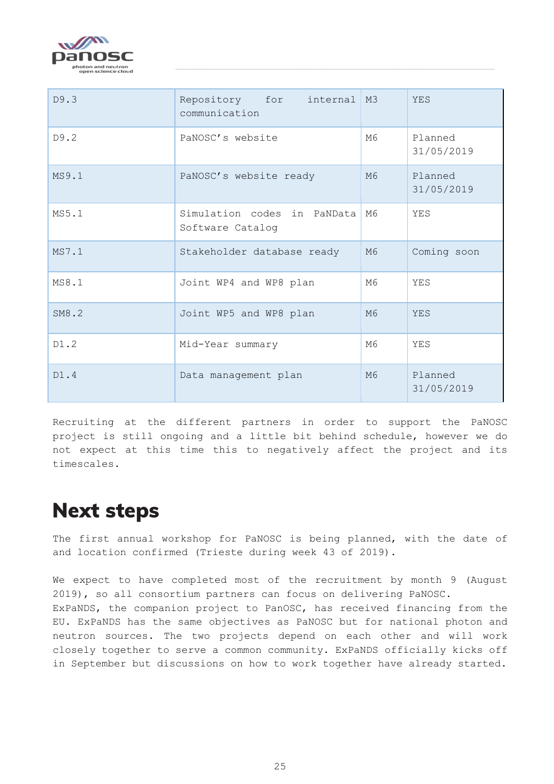

| D9.3  | Repository for internal M3<br>communication     |                | <b>YES</b>            |
|-------|-------------------------------------------------|----------------|-----------------------|
| D9.2  | PaNOSC's website                                | M6             | Planned<br>31/05/2019 |
| MS9.1 | PaNOSC's website ready                          | M6             | Planned<br>31/05/2019 |
| MS5.1 | Simulation codes in PaNData<br>Software Catalog | M6             | YES                   |
| MS7.1 | Stakeholder database ready                      | M6             | Coming soon           |
| MS8.1 | Joint WP4 and WP8 plan                          | M6             | YES                   |
| SM8.2 | Joint WP5 and WP8 plan                          | M6             | <b>YES</b>            |
| D1.2  | Mid-Year summary                                | M6             | YES                   |
| D1.4  | Data management plan                            | M <sub>6</sub> | Planned<br>31/05/2019 |

Recruiting at the different partners in order to support the PaNOSC project is still ongoing and a little bit behind schedule, however we do not expect at this time this to negatively affect the project and its timescales.

# <span id="page-24-0"></span>Next steps

The first annual workshop for PaNOSC is being planned, with the date of and location confirmed (Trieste during week 43 of 2019).

We expect to have completed most of the recruitment by month 9 (August 2019), so all consortium partners can focus on delivering PaNOSC. ExPaNDS, the companion project to PanOSC, has received financing from the EU. ExPaNDS has the same objectives as PaNOSC but for national photon and neutron sources. The two projects depend on each other and will work closely together to serve a common community. ExPaNDS officially kicks off in September but discussions on how to work together have already started.